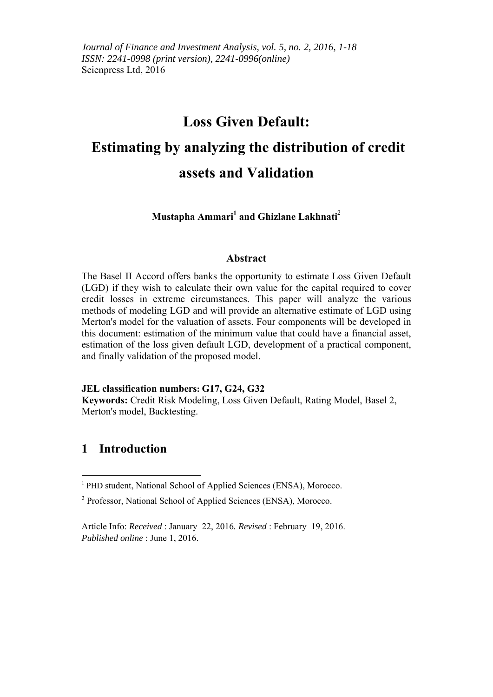## **Loss Given Default:**

# **Estimating by analyzing the distribution of credit assets and Validation**

Mustapha Ammari<sup>1</sup> and Ghizlane Lakhnati<sup>2</sup>

#### **Abstract**

The Basel II Accord offers banks the opportunity to estimate Loss Given Default (LGD) if they wish to calculate their own value for the capital required to cover credit losses in extreme circumstances. This paper will analyze the various methods of modeling LGD and will provide an alternative estimate of LGD using Merton's model for the valuation of assets. Four components will be developed in this document: estimation of the minimum value that could have a financial asset, estimation of the loss given default LGD, development of a practical component, and finally validation of the proposed model.

#### **JEL classification numbers: G17, G24, G32**

**Keywords:** Credit Risk Modeling, Loss Given Default, Rating Model, Basel 2, Merton's model, Backtesting.

## **1 Introduction**

<sup>&</sup>lt;sup>1</sup> PHD student, National School of Applied Sciences (ENSA), Morocco.

<sup>&</sup>lt;sup>2</sup> Professor, National School of Applied Sciences (ENSA), Morocco.

Article Info: *Received* : January 22, 2016*. Revised* : February 19, 2016. *Published online* : June 1, 2016.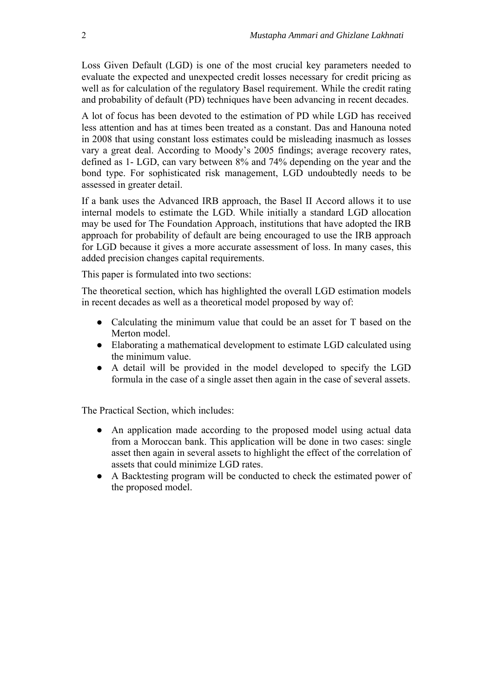Loss Given Default (LGD) is one of the most crucial key parameters needed to evaluate the expected and unexpected credit losses necessary for credit pricing as well as for calculation of the regulatory Basel requirement. While the credit rating and probability of default (PD) techniques have been advancing in recent decades.

A lot of focus has been devoted to the estimation of PD while LGD has received less attention and has at times been treated as a constant. Das and Hanouna noted in 2008 that using constant loss estimates could be misleading inasmuch as losses vary a great deal. According to Moody's 2005 findings; average recovery rates, defined as 1- LGD, can vary between 8% and 74% depending on the year and the bond type. For sophisticated risk management, LGD undoubtedly needs to be assessed in greater detail.

If a bank uses the Advanced IRB approach, the Basel II Accord allows it to use internal models to estimate the LGD. While initially a standard LGD allocation may be used for The Foundation Approach, institutions that have adopted the IRB approach for probability of default are being encouraged to use the IRB approach for LGD because it gives a more accurate assessment of loss. In many cases, this added precision changes capital requirements.

This paper is formulated into two sections:

The theoretical section, which has highlighted the overall LGD estimation models in recent decades as well as a theoretical model proposed by way of:

- Calculating the minimum value that could be an asset for T based on the Merton model.
- Elaborating a mathematical development to estimate LGD calculated using the minimum value.
- A detail will be provided in the model developed to specify the LGD formula in the case of a single asset then again in the case of several assets.

The Practical Section, which includes:

- An application made according to the proposed model using actual data from a Moroccan bank. This application will be done in two cases: single asset then again in several assets to highlight the effect of the correlation of assets that could minimize LGD rates.
- A Backtesting program will be conducted to check the estimated power of the proposed model.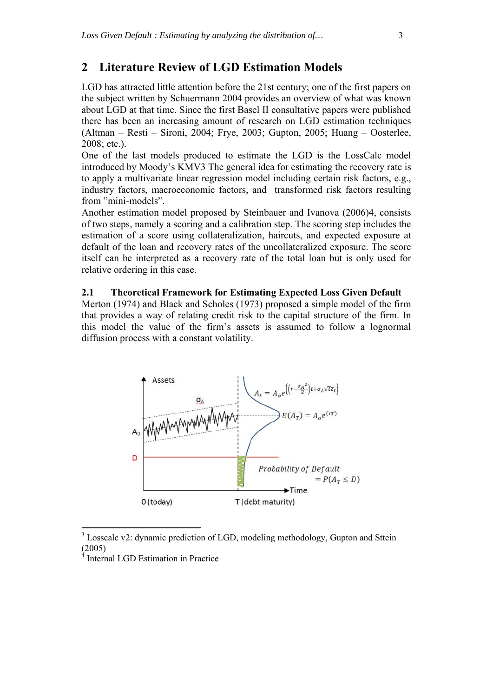## **2 Literature Review of LGD Estimation Models**

LGD has attracted little attention before the 21st century; one of the first papers on the subject written by Schuermann 2004 provides an overview of what was known about LGD at that time. Since the first Basel II consultative papers were published there has been an increasing amount of research on LGD estimation techniques (Altman – Resti – Sironi, 2004; Frye, 2003; Gupton, 2005; Huang – Oosterlee, 2008; etc.).

One of the last models produced to estimate the LGD is the LossCalc model introduced by Moody's KMV3 The general idea for estimating the recovery rate is to apply a multivariate linear regression model including certain risk factors, e.g., industry factors, macroeconomic factors, and transformed risk factors resulting from "mini-models".

Another estimation model proposed by Steinbauer and Ivanova (2006)4, consists of two steps, namely a scoring and a calibration step. The scoring step includes the estimation of a score using collateralization, haircuts, and expected exposure at default of the loan and recovery rates of the uncollateralized exposure. The score itself can be interpreted as a recovery rate of the total loan but is only used for relative ordering in this case.

#### **2.1 Theoretical Framework for Estimating Expected Loss Given Default**

Merton (1974) and Black and Scholes (1973) proposed a simple model of the firm that provides a way of relating credit risk to the capital structure of the firm. In this model the value of the firm's assets is assumed to follow a lognormal diffusion process with a constant volatility.



<sup>&</sup>lt;sup>3</sup> Losscalc v2: dynamic prediction of LGD, modeling methodology, Gupton and Sttein  $(2005)$ 

Internal LGD Estimation in Practice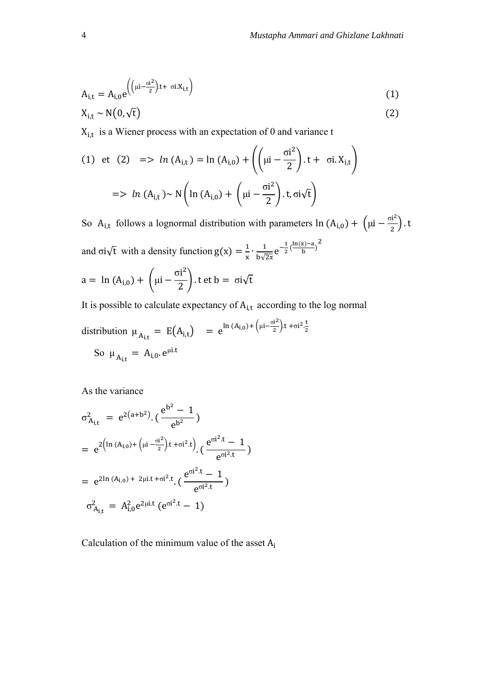$$
A_{i,t} = A_{i,0} e^{\left(\left(\mu i - \frac{\sigma i^2}{2}\right)t + \sigma i X_{i,t}\right)}
$$
(1)

$$
X_{i,t} \sim N(0,\sqrt{t})
$$
 (2)

 $X_{i,t}$  is a Wiener process with an expectation of 0 and variance t

(1) et (2) 
$$
=> ln (A_{i,t}) = ln (A_{i,0}) + ((\mu i - \frac{\sigma i^2}{2}) \cdot t + \sigma i X_{i,t})
$$
  
 $=> ln (A_{i,t}) ~ N (ln (A_{i,0}) + (\mu i - \frac{\sigma i^2}{2}) \cdot t, \sigma i \sqrt{t})$ 

So A<sub>i,t</sub> follows a lognormal distribution with parameters  $\ln(A_{i,0}) + (\mu i - \frac{\sigma i^2}{2})$ .t and  $\sigma i\sqrt{t}$  with a density function  $g(x) = \frac{1}{x} \cdot \frac{1}{b\sqrt{2\pi}} e^{-\frac{1}{2}}$  $rac{1}{2}$  $\left(\frac{\ln(x)-a}{b}\right)^2$ a =  $\ln(A_{i,0}) + |\mu - \mu|$ σi ଶ  $\left(\frac{1}{2}\right)$ . t et b =  $\sigma i\sqrt{t}$ 

It is possible to calculate and expectation of 
$$
A_{i,t}
$$
 according to the log normal

distribution 
$$
\mu_{A_{i,t}} = E(A_{i,t}) = e^{\ln(A_{i,0}) + (\mu i - \frac{\sigma i^2}{2})t + \sigma i^2 \frac{t}{2}}
$$
  
So  $\mu_{A_{i,t}} = A_{i,0}.e^{\mu i.t}$ 

As the variance

$$
\sigma_{A_{i,t}}^{2} = e^{2(a+b^{2})} \cdot \left(\frac{e^{b^{2}} - 1}{e^{b^{2}}}\right)
$$
\n
$$
= e^{2\left(\ln(A_{i,0}) + \left(\mu i - \frac{\sigma i^{2}}{2}\right)t + \sigma i^{2} \cdot t\right)} \cdot \left(\frac{e^{\sigma i^{2} \cdot t} - 1}{e^{\sigma i^{2} \cdot t}}\right)
$$
\n
$$
= e^{2\ln(A_{i,0}) + 2\mu i \cdot t + \sigma i^{2} \cdot t} \cdot \left(\frac{e^{\sigma i^{2} \cdot t} - 1}{e^{\sigma i^{2} \cdot t}}\right)
$$
\n
$$
\sigma_{A_{i,t}}^{2} = A_{i,0}^{2} e^{2\mu i \cdot t} \cdot \left(e^{\sigma i^{2} \cdot t} - 1\right)
$$

Calculation of the minimum value of the asset  $A_i$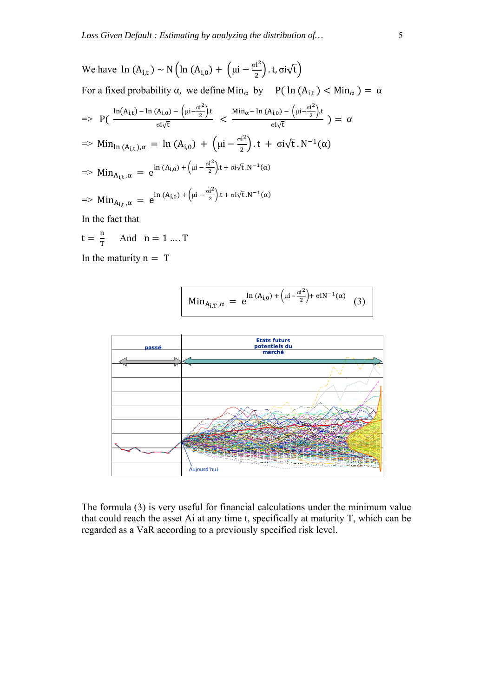We have 
$$
\ln (A_{i,t}) \sim N \left( \ln (A_{i,0}) + \left( \mu i - \frac{\sigma i^2}{2} \right) \cdot t, \sigma i \sqrt{t} \right)
$$
  
\nFor a fixed probability  $\alpha$ , we define  $\text{Min}_{\alpha}$  by  $P(\ln (A_{i,t}) < \text{Min}_{\alpha}) = \alpha$   
\n $\Rightarrow P\left( \frac{\ln(A_{i,t}) - \ln(A_{i,0}) - \left( \mu i - \frac{\sigma i^2}{2} \right) \cdot t}{\sigma i \sqrt{t}} \right) \le \frac{\text{Min}_{\alpha} - \ln(A_{i,0}) - \left( \mu i - \frac{\sigma i^2}{2} \right) \cdot t}{\sigma i \sqrt{t}} \right) = \alpha$   
\n $\Rightarrow \text{Min}_{\ln(A_{i,t}),\alpha} = \ln (A_{i,0}) + \left( \mu i - \frac{\sigma i^2}{2} \right) \cdot t + \sigma i \sqrt{t} \cdot N^{-1}(\alpha)$   
\n $\Rightarrow \text{Min}_{A_{i,t},\alpha} = e^{\ln(A_{i,0}) + \left( \mu i - \frac{\sigma i^2}{2} \right) \cdot t + \sigma i \sqrt{t} \cdot N^{-1}(\alpha)}$   
\n $\Rightarrow \text{Min}_{A_{i,t},\alpha} = e^{\ln(A_{i,0}) + \left( \mu i - \frac{\sigma i^2}{2} \right) \cdot t + \sigma i \sqrt{t} \cdot N^{-1}(\alpha)}$ 

In the fact that

$$
t = \frac{n}{T} \quad \text{And} \quad n = 1 \dots T
$$

In the maturity  $n = T$ 





The formula (3) is very useful for financial calculations under the minimum value that could reach the asset Ai at any time t, specifically at maturity T, which can be regarded as a VaR according to a previously specified risk level.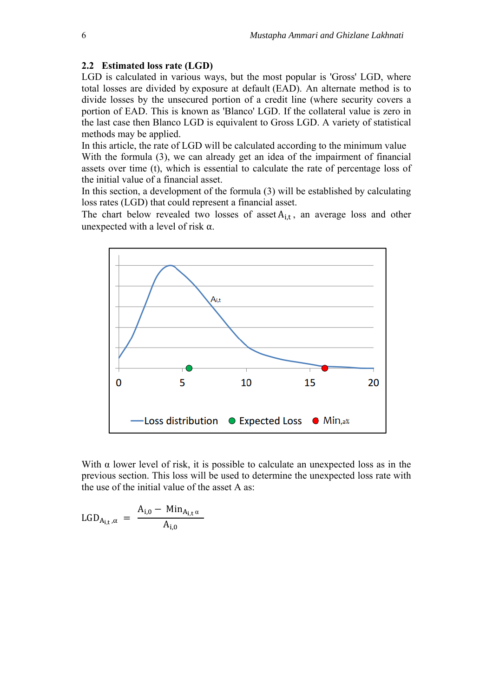#### **2.2 Estimated loss rate (LGD)**

LGD is calculated in various ways, but the most popular is 'Gross' LGD, where total losses are divided by exposure at default (EAD). An alternate method is to divide losses by the unsecured portion of a credit line (where security covers a portion of EAD. This is known as 'Blanco' LGD. If the collateral value is zero in the last case then Blanco LGD is equivalent to Gross LGD. A variety of statistical methods may be applied.

In this article, the rate of LGD will be calculated according to the minimum value With the formula (3), we can already get an idea of the impairment of financial assets over time (t), which is essential to calculate the rate of percentage loss of the initial value of a financial asset.

In this section, a development of the formula (3) will be established by calculating loss rates (LGD) that could represent a financial asset.

The chart below revealed two losses of asset  $A_{i,t}$ , an average loss and other unexpected with a level of risk  $\alpha$ .



With  $\alpha$  lower level of risk, it is possible to calculate an unexpected loss as in the previous section. This loss will be used to determine the unexpected loss rate with the use of the initial value of the asset A as:

$$
LGD_{A_{i,t},\alpha} = \frac{A_{i,0} - Min_{A_{i,t}\alpha}}{A_{i,0}}
$$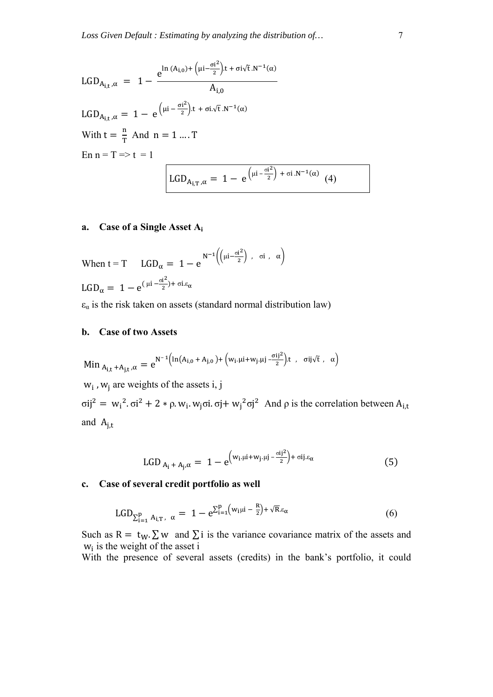$$
LGD_{A_{i,t},\alpha} = 1 - \frac{e^{\ln (A_{i,0}) + (\mu i - \frac{\sigma i^2}{2})t + \sigma i \sqrt{t} \cdot N^{-1}(\alpha)}}{A_{i,0}}
$$
  
\n
$$
LGD_{A_{i,t},\alpha} = 1 - e^{(\mu i - \frac{\sigma i^2}{2})t + \sigma i \cdot \sqrt{t} \cdot N^{-1}(\alpha)}
$$
  
\nWith  $t = \frac{n}{T}$  And  $n = 1 ... T$   
\n
$$
En n = T \Rightarrow t = 1
$$
  
\n
$$
LGD_{A_{i,T},\alpha} = 1 - e^{(\mu i - \frac{\sigma i^2}{2}) + \sigma i \cdot N^{-1}(\alpha)} \quad (4)
$$

#### **a. Case of a Single Asset Ai**

When 
$$
t = T
$$
  $LGD_{\alpha} = 1 - e^{N^{-1} \left( \left( \mu i - \frac{\sigma i^2}{2} \right) , \sigma i , \alpha \right)}$   
 $LGD_{\alpha} = 1 - e^{(\mu i - \frac{\sigma i^2}{2}) + \sigma i . \epsilon_{\alpha}}$ 

 $\varepsilon_{\alpha}$  is the risk taken on assets (standard normal distribution law)

#### **b. Case of two Assets**

$$
Min_{\,A_{i,t} \,+ A_{j,t}\,,\alpha} = e^{N^{-\, 1}\left( \ln (A_{i,0} \,+ \,A_{j,0}\,) + \,\left( w_i.\mu i + w_j.\mu j - \frac{\sigma i j^2}{2} \right)\! .t \;\; , \;\; \sigma ij \sqrt{t} \,\; , \;\; \alpha \right)}
$$

 $w_i$ , w<sub>i</sub> are weights of the assets i, j

σij<sup>2</sup> = w<sub>i</sub><sup>2</sup>. σi<sup>2</sup> + 2 \* ρ. w<sub>i</sub>. w<sub>j</sub>σi. σj+ w<sub>j</sub><sup>2</sup>σj<sup>2</sup> And ρ is the correlation between A<sub>i,t</sub> and  $A_{i,t}$ 

$$
LGD_{A_i + A_j, \alpha} = 1 - e^{\left(w_i, \mu i + w_j, \mu j - \frac{\sigma i j^2}{2}\right) + \sigma i j. \epsilon_{\alpha}}
$$
(5)

#### **c. Case of several credit portfolio as well**

$$
LGD_{\Sigma_{i=1}^p A_{i,T}}, \ \alpha = 1 - e^{\Sigma_{i=1}^p \left(w_i \mu i - \frac{R}{2}\right) + \sqrt{R} \varepsilon_\alpha} \tag{6}
$$

Such as R =  $t_W$ .  $\Sigma$  w and  $\Sigma$  i is the variance covariance matrix of the assets and  $w_i$  is the weight of the asset i

With the presence of several assets (credits) in the bank's portfolio, it could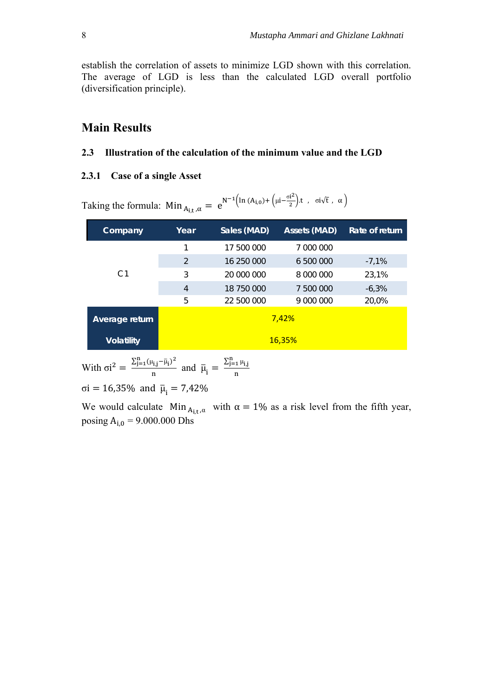establish the correlation of assets to minimize LGD shown with this correlation. The average of LGD is less than the calculated LGD overall portfolio (diversification principle).

## **Main Results**

#### **2.3 Illustration of the calculation of the minimum value and the LGD**

#### **2.3.1 Case of a single Asset**

Taking the formula:  $Min_{A_{i,t},\alpha} = e$  $N^{-1}$ (ln (A<sub>i,0</sub>) + (μi- $\frac{\sigma i^2}{2}$ ) t, σi  $\sqrt{t}$ , α)

| Company           | Year           | Sales (MAD) | <b>Assets (MAD)</b> | Rate of return |  |  |  |
|-------------------|----------------|-------------|---------------------|----------------|--|--|--|
|                   | 1              | 17 500 000  | 7 000 000           |                |  |  |  |
|                   | $\overline{2}$ | 16 250 000  | 6 500 000           | $-7.1\%$       |  |  |  |
| C <sub>1</sub>    | 3              | 20 000 000  | 8 000 000           | 23,1%          |  |  |  |
|                   | $\overline{4}$ | 18 750 000  | 500 000<br>7        | $-6,3%$        |  |  |  |
|                   | 5              | 22 500 000  | 9 000 000           | 20,0%          |  |  |  |
| Average return    | 7,42%          |             |                     |                |  |  |  |
| <b>Volatility</b> | <b>16,35%</b>  |             |                     |                |  |  |  |

With  $\sigma i^2 = \frac{\sum_{j=1}^{n} (\mu_{i,j} - \bar{\mu}_i)^2}{n}$  $\frac{\tau_{1,j} - \tau_{1,j}}{n}$  and  $\bar{\mu}_i =$  $\Sigma_{j=1}^n \mu_{i,j}$ ୬ σi = 16,35% and  $\bar{\mu}_i = 7,42\%$ 

We would calculate Min  $_{A_i,t,\alpha}$  with  $\alpha = 1\%$  as a risk level from the fifth year, posing  $A_{i,0} = 9.000.000$  Dhs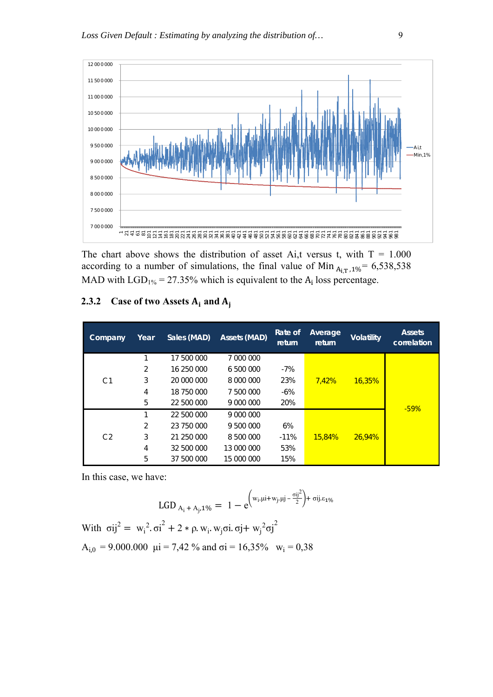

The chart above shows the distribution of asset Ai,t versus t, with  $T = 1.000$ according to a number of simulations, the final value of Min  $_{A_{1}T,1\%}$  = 6,538,538 MAD with  $LGD_{1%} = 27.35\%$  which is equivalent to the A<sub>i</sub> loss percentage.

#### **2.3.2 Case of two Assets**  $A_i$  **and**  $A_i$

| Company        | Year | Sales (MAD) | Assets (MAD) | Rate of<br>return | Average<br>return | <b>Volatility</b> | <b>Assets</b><br>correlation |
|----------------|------|-------------|--------------|-------------------|-------------------|-------------------|------------------------------|
|                |      | 17 500 000  | 7 000 000    |                   |                   |                   |                              |
|                | 2    | 16 250 000  | 6 500 000    | $-7%$             |                   |                   |                              |
| C <sub>1</sub> | 3    | 20 000 000  | 8 000 000    | 23%               | 7.42%             | <b>16,35%</b>     |                              |
|                | 4    | 18 750 000  | 7 500 000    | -6%               |                   |                   |                              |
|                | 5    | 22 500 000  | 9 000 000    | 20%               |                   |                   | $-59%$                       |
|                |      | 22 500 000  | 9 000 000    |                   |                   |                   |                              |
|                | 2    | 23 750 000  | 9 500 000    | 6%                |                   |                   |                              |
| C <sub>2</sub> | 3    | 21 250 000  | 8 500 000    | $-11%$            | <b>15,84%</b>     | 26.94%            |                              |
|                | 4    | 32 500 000  | 13 000 000   | 53%               |                   |                   |                              |
|                | 5    | 37 500 000  | 15 000 000   | 15%               |                   |                   |                              |

In this case, we have:

$$
LGD_{A_i + A_j, 1\%} = 1 - e^{\left(w_i, \mu i + w_j, \mu j - \frac{\sigma ij^2}{2}\right) + \sigma ij \cdot \varepsilon_1 \cdot \varepsilon_2}
$$

With 
$$
\sigma i j^2 = w_i^2 \cdot \sigma i^2 + 2 * \rho \cdot w_i \cdot w_j \sigma i \cdot \sigma j + w_j^2 \sigma j^2
$$
  
\n $A_{i,0} = 9.000.000 \text{ } \mu i = 7,42 \text{ % and } \sigma i = 16,35\text{ % } w_i = 0,38$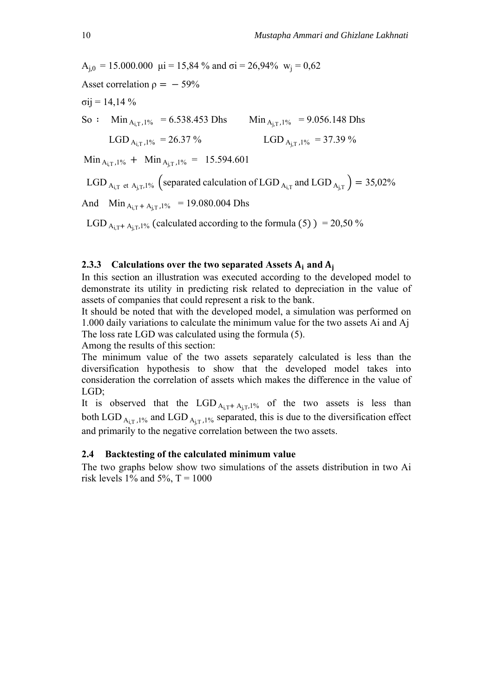$A_{i,0} = 15.000.000 \text{ } \mu i = 15,84 \% \text{ and } \sigma i = 26,94% \text{ } w_i = 0,62$ Asset correlation  $\rho = -59\%$  $\sigma$ ij = 14,14 % So :  $\sin A_{iT}$ ,  $1\%$  = 6.538.453 Dhs  $\sin A_{iT}$ ,  $1\%$  = 9.056.148 Dhs LGD  $_{A_{i,T},1\%}$  = 26.37 % LGD  $_{A_{i,T},1\%}$  = 37.39 %  $\text{Min}_{\text{A}_{i} \text{T},1\%}$  +  $\text{Min}_{\text{A}_{i} \text{T},1\%}$  = 15.594.601 LGD  $_{A_{i,T}}$  et  $_{A_{i,T},1\%}$  (separated calculation of LGD  $_{A_{i,T}}$  and LGD  $_{A_{i,T}}$ ) = 35,02% And  $Min_{A_{i,T} + A_{i,T},1\%}$  = 19.080.004 Dhs LGD  $_{A_i}$ <sub>T</sub> +  $_{A_i}$ <sub>T</sub>,1% (calculated according to the formula (5)) = 20,50 %

### **2.3.3** Calculations over the two separated Assets  $A_i$  and  $A_j$

In this section an illustration was executed according to the developed model to demonstrate its utility in predicting risk related to depreciation in the value of assets of companies that could represent a risk to the bank.

It should be noted that with the developed model, a simulation was performed on 1.000 daily variations to calculate the minimum value for the two assets Ai and Aj The loss rate LGD was calculated using the formula (5).

Among the results of this section:

The minimum value of the two assets separately calculated is less than the diversification hypothesis to show that the developed model takes into consideration the correlation of assets which makes the difference in the value of LGD;

It is observed that the LGD  $_{A_i} + _{A_i} + _{B_i}$  of the two assets is less than both LGD  $_{A_i, T_i}$ , 1% and LGD  $_{A_i, T_i}$ , 1% separated, this is due to the diversification effect and primarily to the negative correlation between the two assets.

#### **2.4 Backtesting of the calculated minimum value**

The two graphs below show two simulations of the assets distribution in two Ai risk levels 1% and 5%,  $T = 1000$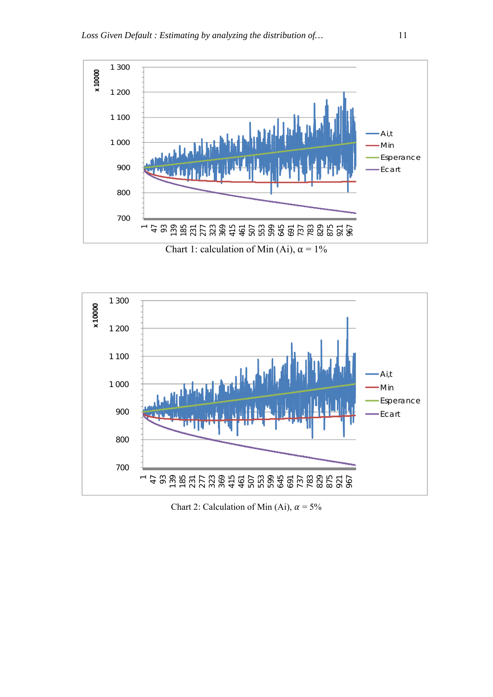

Chart 1: calculation of Min (Ai),  $\alpha = 1\%$ 



Chart 2: Calculation of Min (Ai),  $\alpha = 5\%$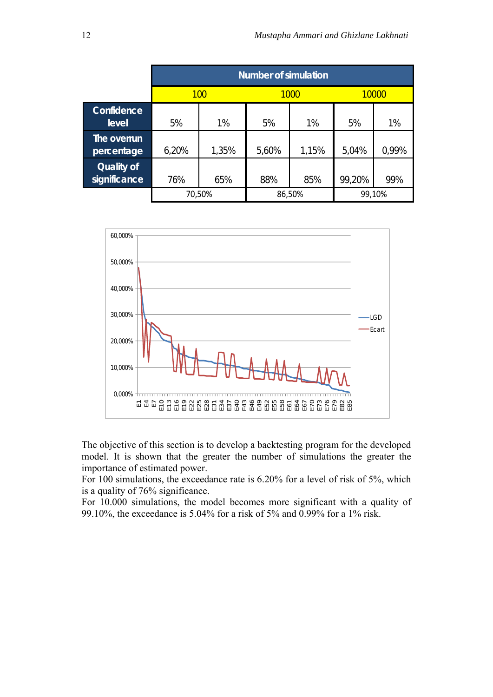|                            | <b>Number of simulation</b> |        |       |        |        |       |  |  |  |
|----------------------------|-----------------------------|--------|-------|--------|--------|-------|--|--|--|
|                            |                             | 100    |       | 1000   |        | 10000 |  |  |  |
| Confidence<br>level        | 5%                          | 1%     | 5%    | 1%     | 5%     | 1%    |  |  |  |
| The overrun<br>percentage  | 6,20%                       | 1,35%  | 5,60% | 1,15%  | 5,04%  | 0,99% |  |  |  |
| Quality of<br>significance | 76%                         | 65%    | 88%   | 85%    | 99,20% | 99%   |  |  |  |
|                            |                             | 70,50% |       | 86,50% | 99,10% |       |  |  |  |



The objective of this section is to develop a backtesting program for the developed model. It is shown that the greater the number of simulations the greater the importance of estimated power.

For 100 simulations, the exceedance rate is 6.20% for a level of risk of 5%, which is a quality of 76% significance.

For 10.000 simulations, the model becomes more significant with a quality of 99.10%, the exceedance is 5.04% for a risk of 5% and 0.99% for a 1% risk.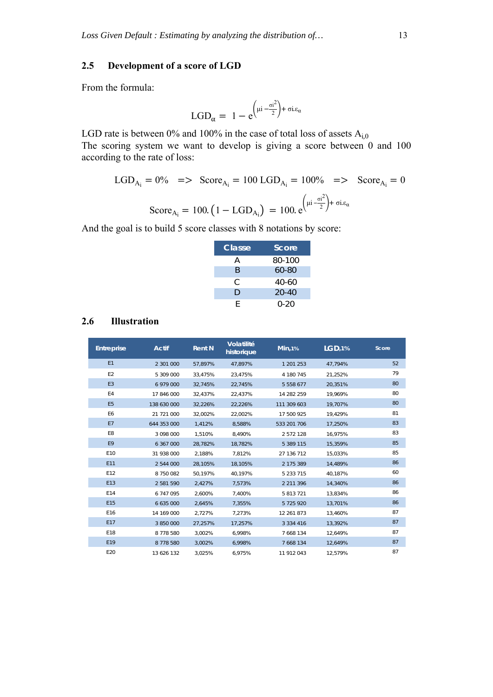### **2.5 Development of a score of LGD**

From the formula:

$$
LGD_{\alpha} = 1 - e^{\left(\mu i - \frac{\sigma i^2}{2}\right) + \sigma i.\epsilon_{\alpha}}
$$

LGD rate is between 0% and 100% in the case of total loss of assets  $A_{i,0}$ The scoring system we want to develop is giving a score between 0 and 100 according to the rate of loss:

$$
LGD_{A_i} = 0\% \implies \text{Score}_{A_i} = 100 \text{ LGD}_{A_i} = 100\% \implies \text{Score}_{A_i} = 0
$$
  

$$
\text{Score}_{A_i} = 100. (1 - \text{LGD}_{A_i}) = 100. e^{\left(\mu i - \frac{\sigma i^2}{2}\right) + \sigma i \epsilon_{\alpha}}
$$

And the goal is to build 5 score classes with 8 notations by score:

| Classe | Score     |
|--------|-----------|
| А      | 80-100    |
| R      | $60 - 80$ |
| C.     | $40-60$   |
| D      | $20 - 40$ |
| F      | $0 - 20$  |

#### **2.6 Illustration**

| <b>Entreprise</b> | <b>Actif</b> | <b>Rent N</b> | Volatilité<br>historique | $Min, 1\%$    | LGD, 1% | Score |
|-------------------|--------------|---------------|--------------------------|---------------|---------|-------|
| E1                | 2 301 000    | 57,897%       | 47,897%                  | 1 201 253     | 47,794% | 52    |
| E <sub>2</sub>    | 5 309 000    | 33.475%       | 23.475%                  | 4 180 745     | 21.252% | 79    |
| E <sub>3</sub>    | 6 979 000    | 32,745%       | 22,745%                  | 5 5 5 8 6 7 7 | 20,351% | 80    |
| E4                | 17 846 000   | 32,437%       | 22,437%                  | 14 282 259    | 19.969% | 80    |
| E <sub>5</sub>    | 138 630 000  | 32,226%       | 22,226%                  | 111 309 603   | 19,707% | 80    |
| E <sub>6</sub>    | 21 721 000   | 32.002%       | 22,002%                  | 17 500 925    | 19.429% | 81    |
| <b>E7</b>         | 644 353 000  | 1,412%        | 8,588%                   | 533 201 706   | 17,250% | 83    |
| E8                | 3 098 000    | 1.510%        | 8.490%                   | 2 572 128     | 16.975% | 83    |
| E9                | 6 367 000    | 28,782%       | 18,782%                  | 5 389 115     | 15,359% | 85    |
| E10               | 31 938 000   | 2,188%        | 7,812%                   | 27 136 712    | 15,033% | 85    |
| E11               | 2 544 000    | 28,105%       | 18,105%                  | 2 175 389     | 14,489% | 86    |
| E <sub>12</sub>   | 8 750 082    | 50,197%       | 40,197%                  | 5 2 3 7 1 5   | 40.187% | 60    |
| E13               | 2 581 590    | 2,427%        | 7,573%                   | 2 2 1 3 3 9 6 | 14,340% | 86    |
| E14               | 6 747 095    | 2,600%        | 7,400%                   | 5 813 721     | 13,834% | 86    |
| E15               | 6 635 000    | 2,645%        | 7,355%                   | 5 725 920     | 13,701% | 86    |
| E <sub>16</sub>   | 14 169 000   | 2,727%        | 7,273%                   | 12 261 873    | 13,460% | 87    |
| E17               | 3 850 000    | 27,257%       | 17,257%                  | 3 3 3 4 4 1 6 | 13,392% | 87    |
| E18               | 8778580      | 3,002%        | 6,998%                   | 7 668 134     | 12,649% | 87    |
| E <sub>19</sub>   | 8778580      | 3,002%        | 6,998%                   | 7 6 68 1 34   | 12,649% | 87    |
| E20               | 13 626 132   | 3,025%        | 6.975%                   | 11 912 043    | 12,579% | 87    |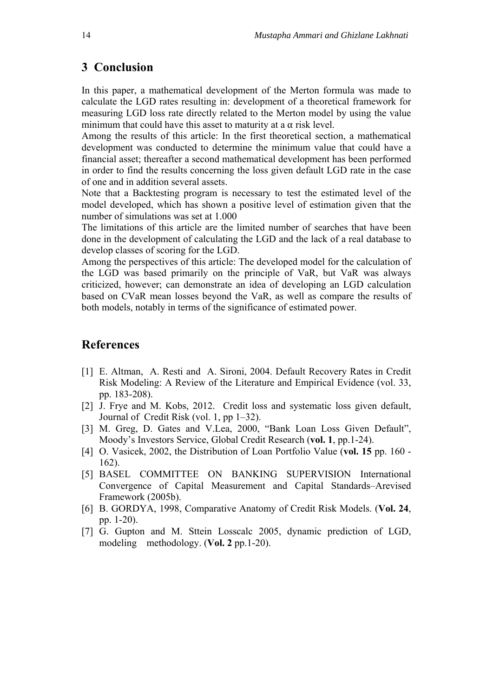### **3 Conclusion**

In this paper, a mathematical development of the Merton formula was made to calculate the LGD rates resulting in: development of a theoretical framework for measuring LGD loss rate directly related to the Merton model by using the value minimum that could have this asset to maturity at a  $\alpha$  risk level.

Among the results of this article: In the first theoretical section, a mathematical development was conducted to determine the minimum value that could have a financial asset; thereafter a second mathematical development has been performed in order to find the results concerning the loss given default LGD rate in the case of one and in addition several assets.

Note that a Backtesting program is necessary to test the estimated level of the model developed, which has shown a positive level of estimation given that the number of simulations was set at 1.000

The limitations of this article are the limited number of searches that have been done in the development of calculating the LGD and the lack of a real database to develop classes of scoring for the LGD.

Among the perspectives of this article: The developed model for the calculation of the LGD was based primarily on the principle of VaR, but VaR was always criticized, however; can demonstrate an idea of developing an LGD calculation based on CVaR mean losses beyond the VaR, as well as compare the results of both models, notably in terms of the significance of estimated power.

## **References**

- [1] E. Altman, A. Resti and A. Sironi, 2004. Default Recovery Rates in Credit Risk Modeling: A Review of the Literature and Empirical Evidence (vol. 33, pp. 183-208).
- [2] J. Frye and M. Kobs, 2012. Credit loss and systematic loss given default, Journal of Credit Risk (vol. 1, pp 1–32).
- [3] M. Greg, D. Gates and V.Lea, 2000, "Bank Loan Loss Given Default", Moody's Investors Service, Global Credit Research (**vol. 1**, pp.1-24).
- [4] O. Vasicek, 2002, the Distribution of Loan Portfolio Value (**vol. 15** pp. 160 162).
- [5] BASEL COMMITTEE ON BANKING SUPERVISION International Convergence of Capital Measurement and Capital Standards–Arevised Framework (2005b).
- [6] B. GORDYA, 1998, Comparative Anatomy of Credit Risk Models. (**Vol. 24**, pp. 1-20).
- [7] G. Gupton and M. Sttein Losscalc 2005, dynamic prediction of LGD, modeling methodology. (**Vol. 2** pp.1-20).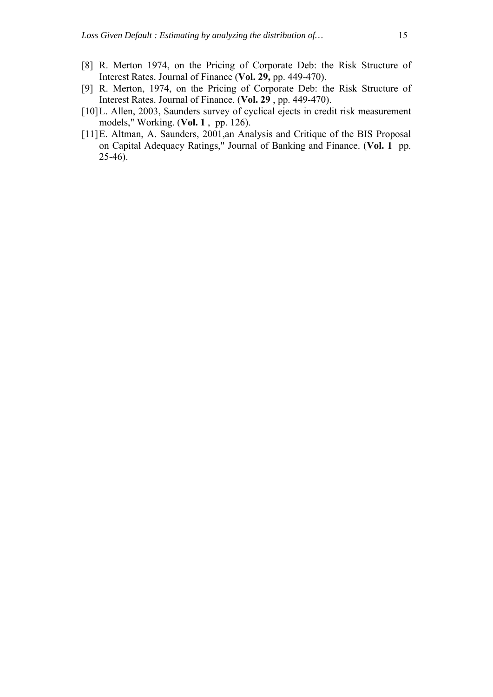- [8] R. Merton 1974, on the Pricing of Corporate Deb: the Risk Structure of Interest Rates. Journal of Finance (**Vol. 29,** pp. 449-470).
- [9] R. Merton, 1974, on the Pricing of Corporate Deb: the Risk Structure of Interest Rates. Journal of Finance. (**Vol. 29** , pp. 449-470).
- [10]L. Allen, 2003, Saunders survey of cyclical ejects in credit risk measurement models," Working. (**Vol. 1** , pp. 126).
- [11]E. Altman, A. Saunders, 2001,an Analysis and Critique of the BIS Proposal on Capital Adequacy Ratings," Journal of Banking and Finance. (**Vol. 1** pp. 25-46).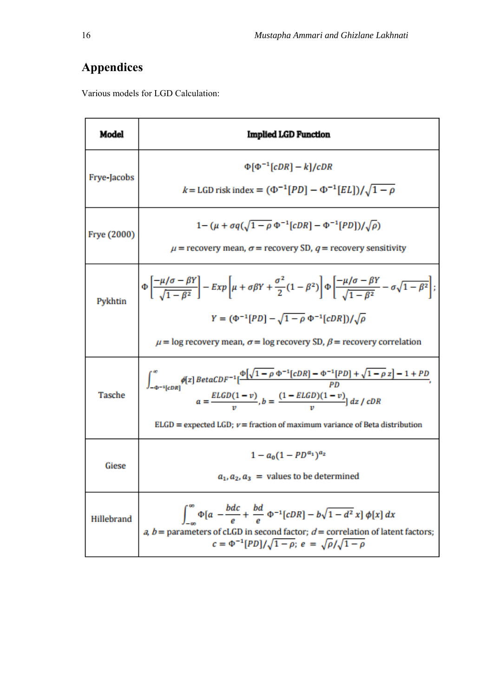## **Appendices**

Various models for LGD Calculation:

| Model         | <b>Implied LGD Function</b>                                                                                                                                                                                                                                                                                                |
|---------------|----------------------------------------------------------------------------------------------------------------------------------------------------------------------------------------------------------------------------------------------------------------------------------------------------------------------------|
| Frye-Jacobs   | $\Phi$ [ $\Phi$ <sup>-1</sup> [cDR] – k]/cDR<br>$k = LGD$ risk index = $(\Phi^{-1}[PD] - \Phi^{-1}[EL]) / \sqrt{1 - \rho}$                                                                                                                                                                                                 |
| Frye (2000)   | $1 - (\mu + \sigma q (\sqrt{1 - \rho} \Phi^{-1} [cDR] - \Phi^{-1} [PD]) / \sqrt{\rho})$<br>$\mu$ = recovery mean, $\sigma$ = recovery SD, $q$ = recovery sensitivity                                                                                                                                                       |
| Pykhtin       | $\Phi\left[\frac{-\mu/\sigma-\beta Y}{\sqrt{1-\beta^2}}\right]-Exp\left[\mu+\sigma\beta Y+\frac{\sigma^2}{2}(1-\beta^2)\right]\Phi\left[\frac{-\mu/\sigma-\beta Y}{\sqrt{1-\beta^2}}-\sigma\sqrt{1-\beta^2}\right];$<br>$Y = (\Phi^{-1}[PD] - \sqrt{1-\rho} \Phi^{-1}[cDR])/\sqrt{\rho}$                                   |
|               | $\mu$ = log recovery mean, $\sigma$ = log recovery SD, $\beta$ = recovery correlation                                                                                                                                                                                                                                      |
| <b>Tasche</b> | $\int_{-\Phi^{-1}[cDR]}^{\infty}\!\!\!\!\!\phi[z]\,Beta CDF^{-1}[\frac{\Phi\big[\sqrt{1-\rho}\;\Phi^{-1}[cDR]-\Phi^{-1}[PD]+\sqrt{1-\rho}\;z\big]-1+PD}{PD},$<br>$a = \frac{ELGD(1-v)}{n}$ , $b = \frac{(1 - ELGD)(1-v)}{n}$ dz / cDR<br>$ELGD$ = expected $LGD$ ; $v$ = fraction of maximum variance of Beta distribution |
| Giese         | $1 - a_0(1 - PD^{a_1})^{a_2}$<br>$a_1, a_2, a_3$ = values to be determined                                                                                                                                                                                                                                                 |
| Hillebrand    | $\int_0^\infty \Phi[a - \frac{bdc}{e} + \frac{bd}{e} \Phi^{-1}[cDR] - b\sqrt{1 - d^2}x] \phi[x] dx$<br>a, $b$ = parameters of cLGD in second factor; $d$ = correlation of latent factors;<br>$c = \Phi^{-1}[PD]/\sqrt{1-\rho}$ ; $e = \sqrt{\rho}/\sqrt{1-\rho}$                                                           |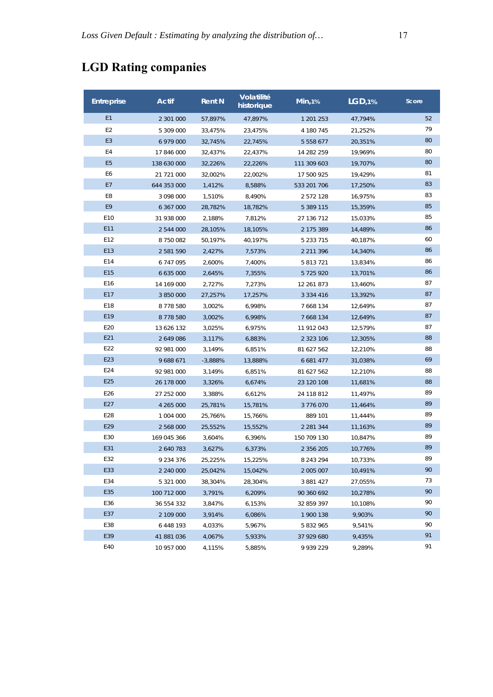## **LGD Rating companies**

| <b>Entreprise</b> | <b>Actif</b>  | <b>Rent N</b> | Volatilité<br>historique | Min, 1%       | LGD, 1% | Score |
|-------------------|---------------|---------------|--------------------------|---------------|---------|-------|
| E1                | 2 301 000     | 57,897%       | 47,897%                  | 1 201 253     | 47,794% | 52    |
| E <sub>2</sub>    | 5 309 000     | 33,475%       | 23,475%                  | 4 180 745     | 21,252% | 79    |
| E <sub>3</sub>    | 6 979 000     | 32,745%       | 22,745%                  | 5 5 5 8 6 7 7 | 20,351% | 80    |
| E4                | 17 846 000    | 32,437%       | 22,437%                  | 14 282 259    | 19,969% | 80    |
| E <sub>5</sub>    | 138 630 000   | 32,226%       | 22,226%                  | 111 309 603   | 19,707% | 80    |
| E6                | 21 721 000    | 32,002%       | 22,002%                  | 17 500 925    | 19,429% | 81    |
| E7                | 644 353 000   | 1,412%        | 8.588%                   | 533 201 706   | 17,250% | 83    |
| E8                | 3 098 000     | 1,510%        | 8,490%                   | 2 572 128     | 16,975% | 83    |
| E9                | 6 367 000     | 28,782%       | 18,782%                  | 5 389 115     | 15,359% | 85    |
| E <sub>10</sub>   | 31 938 000    | 2,188%        | 7,812%                   | 27 136 712    | 15,033% | 85    |
| E11               | 2 544 000     | 28,105%       | 18,105%                  | 2 175 389     | 14,489% | 86    |
| E12               | 8 750 082     | 50,197%       | 40,197%                  | 5 2 3 7 1 5   | 40,187% | 60    |
| E13               | 2 581 590     | 2,427%        | 7,573%                   | 2 2 1 3 9 6   | 14,340% | 86    |
| E14               | 6747095       | 2,600%        | 7,400%                   | 5 813 721     | 13,834% | 86    |
| E15               | 6 635 000     | 2,645%        | 7,355%                   | 5725920       | 13,701% | 86    |
| E16               | 14 169 000    | 2,727%        | 7,273%                   | 12 261 873    | 13,460% | 87    |
| E17               | 3 850 000     | 27,257%       | 17,257%                  | 3 3 3 4 4 1 6 | 13,392% | 87    |
| E18               | 8778580       | 3,002%        | 6,998%                   | 7 668 134     | 12,649% | 87    |
| E19               | 8778580       | 3,002%        | 6,998%                   | 7 668 134     | 12,649% | 87    |
| E20               | 13 626 132    | 3,025%        | 6,975%                   | 11 912 043    | 12,579% | 87    |
| E21               | 2 649 086     | 3,117%        | 6,883%                   | 2 3 2 3 1 0 6 | 12,305% | 88    |
| E22               | 92 981 000    | 3,149%        | 6,851%                   | 81 627 562    | 12,210% | 88    |
| E23               | 9 688 671     | $-3,888%$     | 13,888%                  | 6 681 477     | 31,038% | 69    |
| E24               | 92 981 000    | 3,149%        | 6,851%                   | 81 627 562    | 12,210% | 88    |
| E25               | 26 178 000    | 3,326%        | 6,674%                   | 23 120 108    | 11,681% | 88    |
| E26               | 27 252 000    | 3,388%        | 6,612%                   | 24 118 812    | 11,497% | 89    |
| E27               | 4 265 000     | 25,781%       | 15,781%                  | 3 776 070     | 11,464% | 89    |
| E28               | 1 004 000     | 25,766%       | 15,766%                  | 889 101       | 11,444% | 89    |
| E29               | 2 568 000     | 25,552%       | 15,552%                  | 2 2 8 1 3 4 4 | 11,163% | 89    |
| E30               | 169 045 366   | 3,604%        | 6,396%                   | 150 709 130   | 10,847% | 89    |
| E31               | 2 640 783     | 3,627%        | 6,373%                   | 2 3 5 6 2 0 5 | 10,776% | 89    |
| E32               | 9 2 3 4 3 7 6 | 25,225%       | 15,225%                  | 8 243 294     | 10,733% | 89    |
| E33               | 2 240 000     | 25,042%       | 15,042%                  | 2 005 007     | 10,491% | 90    |
| E34               | 5 321 000     | 38,304%       | 28,304%                  | 3 881 427     | 27,055% | 73    |
| E35               | 100 712 000   | 3,791%        | 6,209%                   | 90 360 692    | 10,278% | 90    |
| E36               | 36 554 332    | 3,847%        | 6,153%                   | 32 859 397    | 10,108% | 90    |
| E37               | 2 109 000     | 3,914%        | 6,086%                   | 1 900 138     | 9,903%  | 90    |
| E38               | 6 448 193     | 4,033%        | 5,967%                   | 5 832 965     | 9,541%  | 90    |
| E39               | 41 881 036    | 4,067%        | 5,933%                   | 37 929 680    | 9,435%  | 91    |
| E40               | 10 957 000    | 4,115%        | 5,885%                   | 9 939 229     | 9,289%  | 91    |